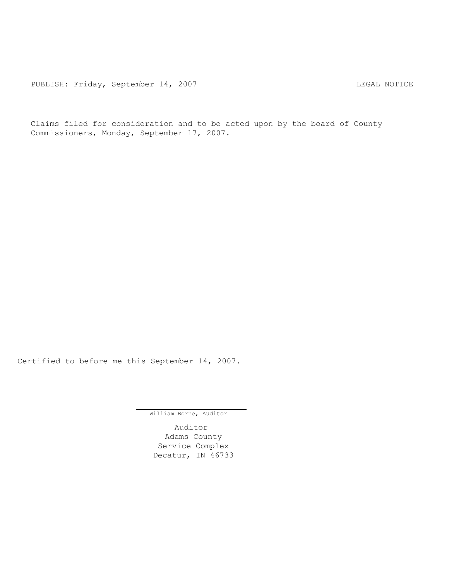Claims filed for consideration and to be acted upon by the board of County Commissioners, Monday, September 17, 2007.

Certified to before me this September 14, 2007.

William Borne, Auditor

Auditor Adams County Service Complex Decatur, IN 46733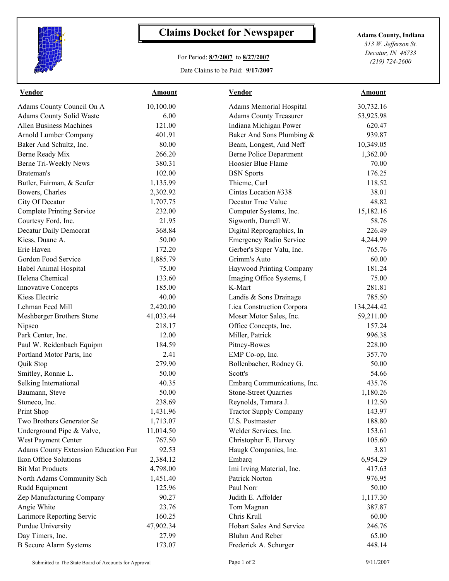

## **Claims Docket for Newspaper Adams County, Indiana**

## For Period: **8/7/2007** to **8/27/2007**

Date Claims to be Paid: **9/17/2007**

*313 W. Jefferson St. Decatur, IN 46733 (219) 724-2600*

| <b>Vendor</b><br><b>Amount</b>              | <b>Amount</b> | <b>Vendor</b>                        |
|---------------------------------------------|---------------|--------------------------------------|
| 30,732.16<br><b>Adams Memorial Hospital</b> | 10,100.00     | Adams County Council On A            |
| <b>Adams County Treasurer</b><br>53,925.98  | 6.00          | Adams County Solid Waste             |
| Indiana Michigan Power<br>620.47            | 121.00        | <b>Allen Business Machines</b>       |
| Baker And Sons Plumbing &<br>939.87         | 401.91        | Arnold Lumber Company                |
| Beam, Longest, And Neff<br>10,349.05        | 80.00         | Baker And Schultz, Inc.              |
| <b>Berne Police Department</b><br>1,362.00  | 266.20        | Berne Ready Mix                      |
| Hoosier Blue Flame<br>70.00                 | 380.31        | Berne Tri-Weekly News                |
| <b>BSN</b> Sports<br>176.25                 | 102.00        | Brateman's                           |
| 118.52<br>Thieme, Carl                      | 1,135.99      | Butler, Fairman, & Seufer            |
| Cintas Location #338<br>38.01               | 2,302.92      | Bowers, Charles                      |
| 48.82<br>Decatur True Value                 | 1,707.75      | City Of Decatur                      |
| Computer Systems, Inc.<br>15,182.16         | 232.00        | <b>Complete Printing Service</b>     |
| Sigworth, Darrell W.<br>58.76               | 21.95         | Courtesy Ford, Inc.                  |
| Digital Reprographics, In<br>226.49         | 368.84        | Decatur Daily Democrat               |
| <b>Emergency Radio Service</b><br>4,244.99  | 50.00         | Kiess, Duane A.                      |
| Gerber's Super Valu, Inc.<br>765.76         | 172.20        | Erie Haven                           |
| 60.00<br>Grimm's Auto                       | 1,885.79      | Gordon Food Service                  |
| Haywood Printing Company<br>181.24          | 75.00         | Habel Animal Hospital                |
| Imaging Office Systems, I<br>75.00          | 133.60        | Helena Chemical                      |
| K-Mart<br>281.81                            | 185.00        | <b>Innovative Concepts</b>           |
| Landis & Sons Drainage<br>785.50            | 40.00         | Kiess Electric                       |
| Lica Construction Corpora<br>134,244.42     | 2,420.00      | Lehman Feed Mill                     |
| Moser Motor Sales, Inc.<br>59,211.00        | 41,033.44     | Meshberger Brothers Stone            |
| Office Concepts, Inc.<br>157.24             | 218.17        | Nipsco                               |
| 996.38<br>Miller, Patrick                   | 12.00         | Park Center, Inc.                    |
| Pitney-Bowes<br>228.00                      | 184.59        | Paul W. Reidenbach Equipm            |
| EMP Co-op, Inc.<br>357.70                   | 2.41          | Portland Motor Parts, Inc.           |
| 50.00<br>Bollenbacher, Rodney G.            | 279.90        | Quik Stop                            |
| 54.66<br>Scott's                            | 50.00         | Smitley, Ronnie L.                   |
| Embarq Communications, Inc.<br>435.76       | 40.35         | Selking International                |
| <b>Stone-Street Quarries</b><br>1,180.26    | 50.00         | Baumann, Steve                       |
| Reynolds, Tamara J.<br>112.50               | 238.69        | Stoneco, Inc.                        |
| 143.97                                      | 1,431.96      | Print Shop                           |
| 188.80<br>U.S. Postmaster                   | 1,713.07      | Two Brothers Generator Se            |
| Welder Services, Inc.<br>153.61             | 11,014.50     | Underground Pipe & Valve,            |
| Christopher E. Harvey<br>105.60             | 767.50        | West Payment Center                  |
| Haugk Companies, Inc.<br>3.81               | 92.53         | Adams County Extension Education Fur |
| Embarq<br>6,954.29                          | 2,384.12      | Ikon Office Solutions                |
| Imi Irving Material, Inc.<br>417.63         | 4,798.00      | <b>Bit Mat Products</b>              |
| Patrick Norton<br>976.95                    | 1,451.40      | North Adams Community Sch            |
| Paul Norr<br>50.00                          | 125.96        | Rudd Equipment                       |
| Judith E. Affolder<br>1,117.30              | 90.27         | Zep Manufacturing Company            |
| Tom Magnan<br>387.87                        | 23.76         | Angie White                          |
| Chris Krull<br>60.00                        | 160.25        |                                      |
| Hobart Sales And Service<br>246.76          | 47,902.34     | <b>Purdue University</b>             |
| <b>Bluhm And Reber</b><br>65.00             | 27.99         | Day Timers, Inc.                     |
| Frederick A. Schurger<br>448.14             | 173.07        | <b>B</b> Secure Alarm Systems        |
| <b>Tractor Supply Company</b>               |               | Larimore Reporting Servic            |